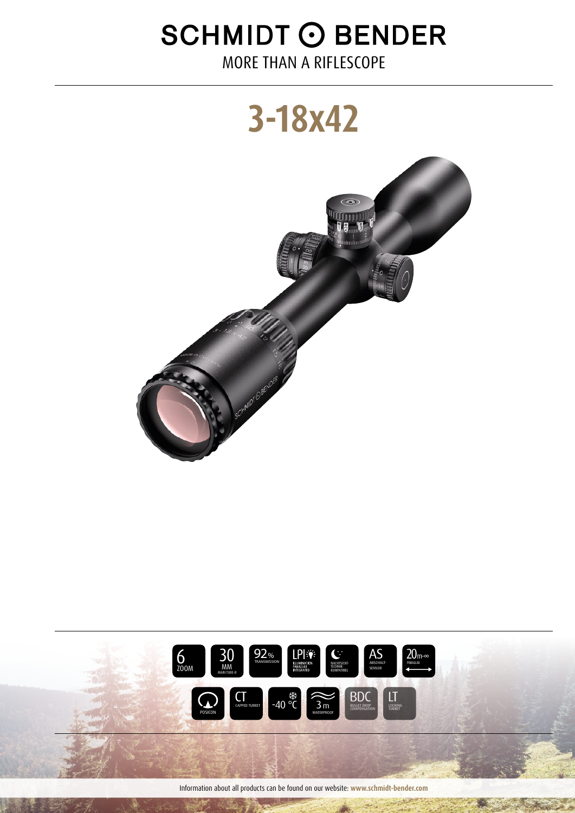# **SCHMIDT O BENDER**

MORE THAN A RIFLESCOPE





Information about all products can be found on our website: www.schmidt-bender.com